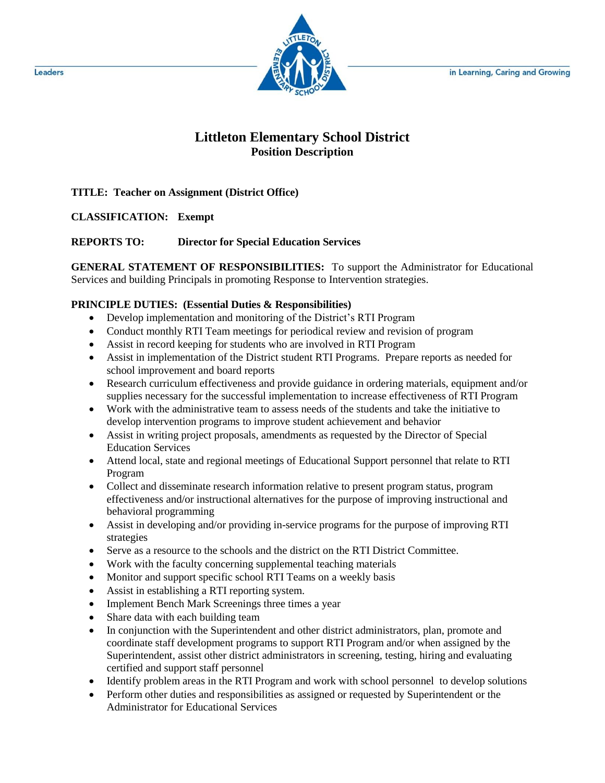

# **Littleton Elementary School District Position Description**

## **TITLE: Teacher on Assignment (District Office)**

## **CLASSIFICATION: Exempt**

### **REPORTS TO: Director for Special Education Services**

**GENERAL STATEMENT OF RESPONSIBILITIES:** To support the Administrator for Educational Services and building Principals in promoting Response to Intervention strategies.

### **PRINCIPLE DUTIES: (Essential Duties & Responsibilities)**

- Develop implementation and monitoring of the District's RTI Program
- Conduct monthly RTI Team meetings for periodical review and revision of program
- Assist in record keeping for students who are involved in RTI Program
- Assist in implementation of the District student RTI Programs. Prepare reports as needed for school improvement and board reports
- Research curriculum effectiveness and provide guidance in ordering materials, equipment and/or supplies necessary for the successful implementation to increase effectiveness of RTI Program
- Work with the administrative team to assess needs of the students and take the initiative to develop intervention programs to improve student achievement and behavior
- Assist in writing project proposals, amendments as requested by the Director of Special Education Services
- Attend local, state and regional meetings of Educational Support personnel that relate to RTI Program
- Collect and disseminate research information relative to present program status, program effectiveness and/or instructional alternatives for the purpose of improving instructional and behavioral programming
- Assist in developing and/or providing in-service programs for the purpose of improving RTI strategies
- Serve as a resource to the schools and the district on the RTI District Committee.
- Work with the faculty concerning supplemental teaching materials
- Monitor and support specific school RTI Teams on a weekly basis
- Assist in establishing a RTI reporting system.
- Implement Bench Mark Screenings three times a year
- Share data with each building team
- In conjunction with the Superintendent and other district administrators, plan, promote and coordinate staff development programs to support RTI Program and/or when assigned by the Superintendent, assist other district administrators in screening, testing, hiring and evaluating certified and support staff personnel
- Identify problem areas in the RTI Program and work with school personnel to develop solutions
- Perform other duties and responsibilities as assigned or requested by Superintendent or the Administrator for Educational Services

Leaders